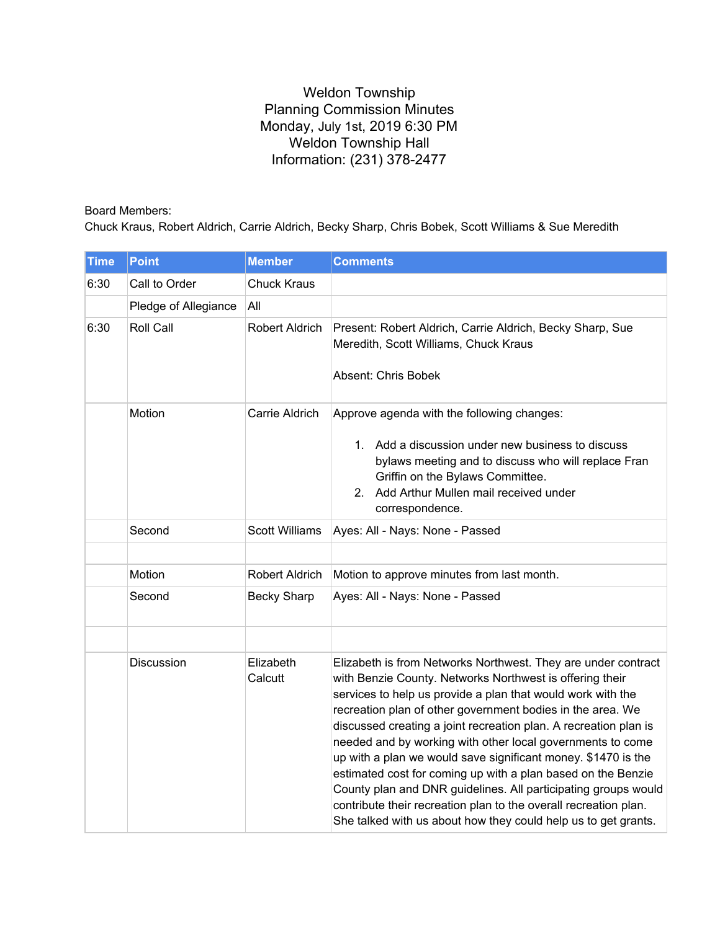## Weldon Township Planning Commission Minutes Monday, July 1st, 2019 6:30 PM Weldon Township Hall Information: (231) 378-2477

Board Members:

Chuck Kraus, Robert Aldrich, Carrie Aldrich, Becky Sharp, Chris Bobek, Scott Williams & Sue Meredith

| <b>Time</b> | <b>Point</b>         | <b>Member</b>         | <b>Comments</b>                                                                                                                                                                                                                                                                                                                                                                                                                                                                                                                                                                                                                                                                                                                   |
|-------------|----------------------|-----------------------|-----------------------------------------------------------------------------------------------------------------------------------------------------------------------------------------------------------------------------------------------------------------------------------------------------------------------------------------------------------------------------------------------------------------------------------------------------------------------------------------------------------------------------------------------------------------------------------------------------------------------------------------------------------------------------------------------------------------------------------|
| 6:30        | Call to Order        | <b>Chuck Kraus</b>    |                                                                                                                                                                                                                                                                                                                                                                                                                                                                                                                                                                                                                                                                                                                                   |
|             | Pledge of Allegiance | All                   |                                                                                                                                                                                                                                                                                                                                                                                                                                                                                                                                                                                                                                                                                                                                   |
| 6:30        | Roll Call            | <b>Robert Aldrich</b> | Present: Robert Aldrich, Carrie Aldrich, Becky Sharp, Sue<br>Meredith, Scott Williams, Chuck Kraus<br><b>Absent: Chris Bobek</b>                                                                                                                                                                                                                                                                                                                                                                                                                                                                                                                                                                                                  |
|             | Motion               | Carrie Aldrich        | Approve agenda with the following changes:<br>1. Add a discussion under new business to discuss<br>bylaws meeting and to discuss who will replace Fran<br>Griffin on the Bylaws Committee.<br>2. Add Arthur Mullen mail received under<br>correspondence.                                                                                                                                                                                                                                                                                                                                                                                                                                                                         |
|             | Second               | <b>Scott Williams</b> | Ayes: All - Nays: None - Passed                                                                                                                                                                                                                                                                                                                                                                                                                                                                                                                                                                                                                                                                                                   |
|             |                      |                       |                                                                                                                                                                                                                                                                                                                                                                                                                                                                                                                                                                                                                                                                                                                                   |
|             | Motion               | Robert Aldrich        | Motion to approve minutes from last month.                                                                                                                                                                                                                                                                                                                                                                                                                                                                                                                                                                                                                                                                                        |
|             | Second               | <b>Becky Sharp</b>    | Ayes: All - Nays: None - Passed                                                                                                                                                                                                                                                                                                                                                                                                                                                                                                                                                                                                                                                                                                   |
|             |                      |                       |                                                                                                                                                                                                                                                                                                                                                                                                                                                                                                                                                                                                                                                                                                                                   |
|             | Discussion           | Elizabeth<br>Calcutt  | Elizabeth is from Networks Northwest. They are under contract<br>with Benzie County. Networks Northwest is offering their<br>services to help us provide a plan that would work with the<br>recreation plan of other government bodies in the area. We<br>discussed creating a joint recreation plan. A recreation plan is<br>needed and by working with other local governments to come<br>up with a plan we would save significant money. \$1470 is the<br>estimated cost for coming up with a plan based on the Benzie<br>County plan and DNR guidelines. All participating groups would<br>contribute their recreation plan to the overall recreation plan.<br>She talked with us about how they could help us to get grants. |